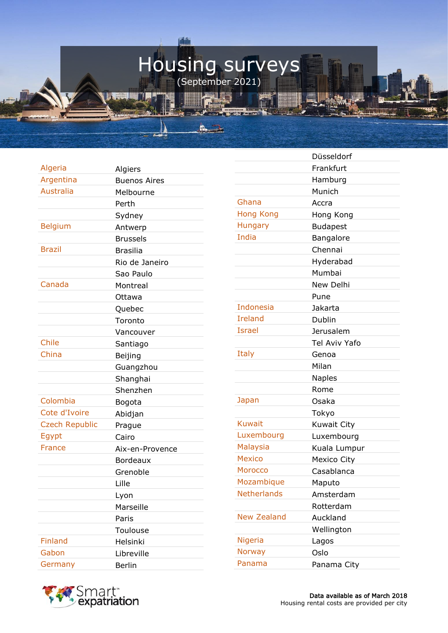## Housing surveys (September 2021)

羅 1

A.  $\frac{1}{\sqrt{2}}$  THE RESIDENCE OF STREET

Algeria Algiers Argentina Buenos Aires Australia Melbourne Perth Sydney Belgium Antwerp Brussels Brazil Brasilia Rio de Janeiro Sao Paulo Canada Montreal Ottawa Quebec Toronto Vancouver Chile Santiago China Beijing **Guangzhou** Shanghai Shenzhen Colombia Bogota Cote d'Ivoire Abidjan Czech Republic Praque Egypt Cairo France Aix-en-Provence Bordeaux Grenoble Lille Lyon Marseille Paris Toulouse Finland Helsinki Gabon Libreville Germany Berlin

|                    | Düsseldorf         |
|--------------------|--------------------|
|                    | Frankfurt          |
|                    | Hamburg            |
|                    | Munich             |
| Ghana              | Accra              |
| <b>Hong Kong</b>   | Hong Kong          |
| Hungary            | <b>Budapest</b>    |
| India              | Bangalore          |
|                    | Chennai            |
|                    | Hyderabad          |
|                    | Mumbai             |
|                    | New Delhi          |
|                    | Pune               |
| <b>Indonesia</b>   | Jakarta            |
| <b>Ireland</b>     | Dublin             |
| <b>Israel</b>      | Jerusalem          |
|                    | Tel Aviv Yafo      |
| Italy              | Genoa              |
|                    | Milan              |
|                    | <b>Naples</b>      |
|                    | Rome               |
| Japan              | Osaka              |
|                    | Tokyo              |
| <b>Kuwait</b>      | <b>Kuwait City</b> |
| Luxembourg         | Luxembourg         |
| <b>Malaysia</b>    | Kuala Lumpur       |
| <b>Mexico</b>      | <b>Mexico City</b> |
| <b>Morocco</b>     | Casablanca         |
| Mozambique         | Maputo             |
| <b>Netherlands</b> | Amsterdam          |
|                    | Rotterdam          |
| <b>New Zealand</b> | Auckland           |
|                    | Wellington         |
| Nigeria            | Lagos              |
| <b>Norway</b>      | Oslo               |
| Panama             | Panama City        |

▓▓▓